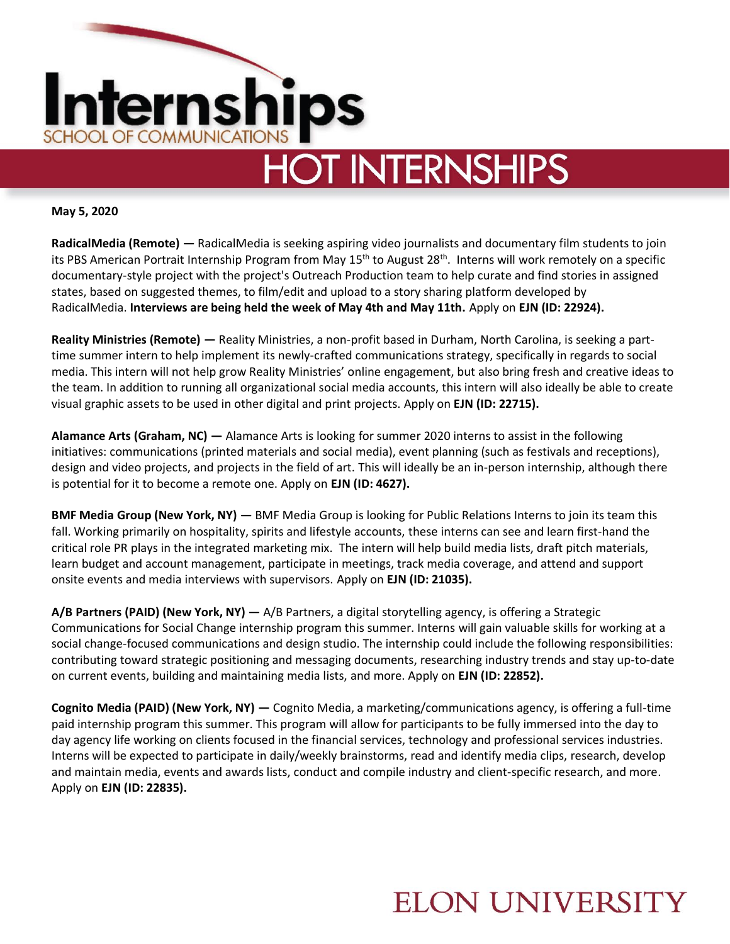

**May 5, 2020**

**RadicalMedia (Remote) —** RadicalMedia is seeking aspiring video journalists and documentary film students to join its PBS American Portrait Internship Program from May 15<sup>th</sup> to August 28<sup>th</sup>. Interns will work remotely on a specific documentary-style project with the project's Outreach Production team to help curate and find stories in assigned states, based on suggested themes, to film/edit and upload to a story sharing platform developed by RadicalMedia. **Interviews are being held the week of May 4th and May 11th.** Apply on **EJN (ID: 22924).** 

**Reality Ministries (Remote) —** Reality Ministries, a non-profit based in Durham, North Carolina, is seeking a parttime summer intern to help implement its newly-crafted communications strategy, specifically in regards to social media. This intern will not help grow Reality Ministries' online engagement, but also bring fresh and creative ideas to the team. In addition to running all organizational social media accounts, this intern will also ideally be able to create visual graphic assets to be used in other digital and print projects. Apply on **EJN (ID: 22715).** 

**Alamance Arts (Graham, NC) —** Alamance Arts is looking for summer 2020 interns to assist in the following initiatives: communications (printed materials and social media), event planning (such as festivals and receptions), design and video projects, and projects in the field of art. This will ideally be an in-person internship, although there is potential for it to become a remote one. Apply on **EJN (ID: 4627).** 

**BMF Media Group (New York, NY) —** BMF Media Group is looking for Public Relations Interns to join its team this fall. Working primarily on hospitality, spirits and lifestyle accounts, these interns can see and learn first-hand the critical role PR plays in the integrated marketing mix. The intern will help build media lists, draft pitch materials, learn budget and account management, participate in meetings, track media coverage, and attend and support onsite events and media interviews with supervisors. Apply on **EJN (ID: 21035).**

**A/B Partners (PAID) (New York, NY) —** A/B Partners, a digital storytelling agency, is offering a Strategic Communications for Social Change internship program this summer. Interns will gain valuable skills for working at a social change-focused communications and design studio. The internship could include the following responsibilities: contributing toward strategic positioning and messaging documents, researching industry trends and stay up-to-date on current events, building and maintaining media lists, and more. Apply on **EJN (ID: 22852).** 

**Cognito Media (PAID) (New York, NY) —** Cognito Media, a marketing/communications agency, is offering a full-time paid internship program this summer. This program will allow for participants to be fully immersed into the day to day agency life working on clients focused in the financial services, technology and professional services industries. Interns will be expected to participate in daily/weekly brainstorms, read and identify media clips, research, develop and maintain media, events and awards lists, conduct and compile industry and client-specific research, and more. Apply on **EJN (ID: 22835).** 

## **ELON UNIVERSITY**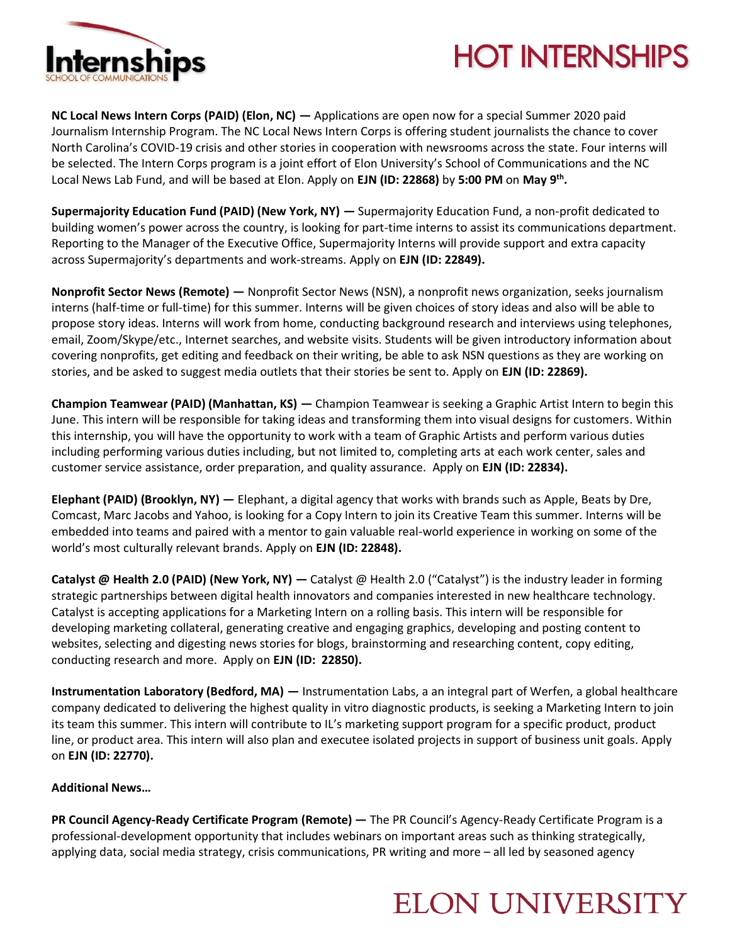

# **HOT INTERNSHIPS**

**NC Local News Intern Corps (PAID) (Elon, NC) —** Applications are open now for a special Summer 2020 paid Journalism Internship Program. The NC Local News Intern Corps is offering student journalists the chance to cover North Carolina's COVID-19 crisis and other stories in cooperation with newsrooms across the state. Four interns will be selected. The Intern Corps program is a joint effort of Elon University's School of Communications and the NC Local News Lab Fund, and will be based at Elon. Apply on **EJN (ID: 22868)** by **5:00 PM** on **May 9th .** 

**Supermajority Education Fund (PAID) (New York, NY) —** Supermajority Education Fund, a non-profit dedicated to building women's power across the country, is looking for part-time interns to assist its communications department. Reporting to the Manager of the Executive Office, Supermajority Interns will provide support and extra capacity across Supermajority's departments and work-streams. Apply on **EJN (ID: 22849).**

**Nonprofit Sector News (Remote) —** Nonprofit Sector News (NSN), a nonprofit news organization, seeks journalism interns (half-time or full-time) for this summer. Interns will be given choices of story ideas and also will be able to propose story ideas. Interns will work from home, conducting background research and interviews using telephones, email, Zoom/Skype/etc., Internet searches, and website visits. Students will be given introductory information about covering nonprofits, get editing and feedback on their writing, be able to ask NSN questions as they are working on stories, and be asked to suggest media outlets that their stories be sent to. Apply on **EJN (ID: 22869).**

**Champion Teamwear (PAID) (Manhattan, KS) —** Champion Teamwear is seeking a Graphic Artist Intern to begin this June. This intern will be responsible for taking ideas and transforming them into visual designs for customers. Within this internship, you will have the opportunity to work with a team of Graphic Artists and perform various duties including performing various duties including, but not limited to, completing arts at each work center, sales and customer service assistance, order preparation, and quality assurance. Apply on **EJN (ID: 22834).**

**Elephant (PAID) (Brooklyn, NY) —** Elephant, a digital agency that works with brands such as Apple, Beats by Dre, Comcast, Marc Jacobs and Yahoo, is looking for a Copy Intern to join its Creative Team this summer. Interns will be embedded into teams and paired with a mentor to gain valuable real-world experience in working on some of the world's most culturally relevant brands. Apply on **EJN (ID: 22848).** 

**Catalyst @ Health 2.0 (PAID) (New York, NY) —** Catalyst @ Health 2.0 ("Catalyst") is the industry leader in forming strategic partnerships between digital health innovators and companies interested in new healthcare technology. Catalyst is accepting applications for a Marketing Intern on a rolling basis. This intern will be responsible for developing marketing collateral, generating creative and engaging graphics, developing and posting content to websites, selecting and digesting news stories for blogs, brainstorming and researching content, copy editing, conducting research and more. Apply on **EJN (ID: 22850).** 

**Instrumentation Laboratory (Bedford, MA) —** Instrumentation Labs, a an integral part of Werfen, a global healthcare company dedicated to delivering the highest quality in vitro diagnostic products, is seeking a Marketing Intern to join its team this summer. This intern will contribute to IL's marketing support program for a specific product, product line, or product area. This intern will also plan and executee isolated projects in support of business unit goals. Apply on **EJN (ID: 22770).** 

#### **Additional News…**

**PR Council Agency-Ready Certificate Program (Remote) —** The PR Council's Agency-Ready Certificate Program is a professional-development opportunity that includes webinars on important areas such as thinking strategically, applying data, social media strategy, crisis communications, PR writing and more – all led by seasoned agency

## **ELON UNIVERSITY**